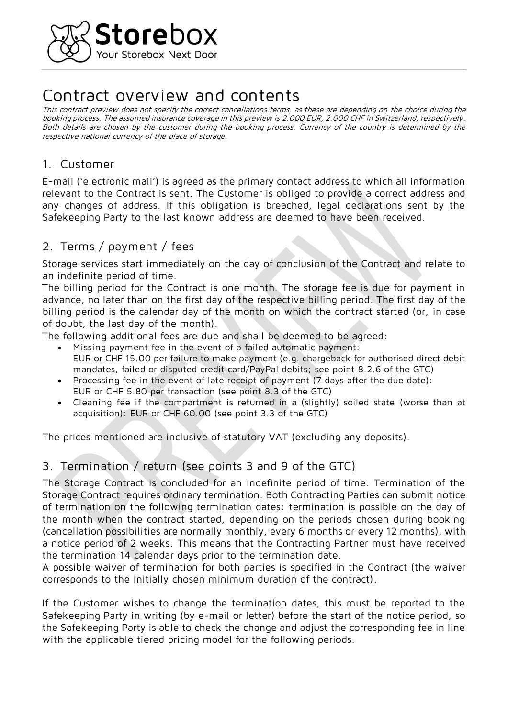

# **Contract overview and contents**

**This contract preview does not specify the correct cancellations terms, as these are depending on the choice during the booking process. The assumed insurance coverage in this preview is 2.000 EUR, 2.000 CHF in Switzerland, respectively. Both details are chosen by the customer during the booking process. Currency of the country is determined by the respective national currency of the place of storage.**

#### **1. Customer**

**E-mail ('electronic mail') is agreed as the primary contact address to which all information relevant to the Contract is sent. The Customer is obliged to provide a correct address and any changes of address. If this obligation is breached, legal declarations sent by the Safekeeping Party to the last known address are deemed to have been received.**

## **2. Terms / payment / fees**

**Storage services start immediately on the day of conclusion of the Contract and relate to an indefinite period of time.** 

**The billing period for the Contract is one month. The storage fee is due for payment in advance, no later than on the first day of the respective billing period. The first day of the billing period is the calendar day of the month on which the contract started (or, in case of doubt, the last day of the month).**

**The following additional fees are due and shall be deemed to be agreed:**

- **Missing payment fee in the event of a failed automatic payment: EUR or CHF 15.00 per failure to make payment (e.g. chargeback for authorised direct debit mandates, failed or disputed credit card/PayPal debits; see point 8.2.6 of the GTC)**
- **Processing fee in the event of late receipt of payment (7 days after the due date): EUR or CHF 5.80 per transaction (see point 8.3 of the GTC)**
- **Cleaning fee if the compartment is returned in a (slightly) soiled state (worse than at acquisition): EUR or CHF 60.00 (see point 3.3 of the GTC)**

**The prices mentioned are inclusive of statutory VAT (excluding any deposits).**

## **3. Termination / return (see points 3 and 9 of the GTC)**

**The Storage Contract is concluded for an indefinite period of time. Termination of the Storage Contract requires ordinary termination. Both Contracting Parties can submit notice of termination on the following termination dates: termination is possible on the day of the month when the contract started, depending on the periods chosen during booking (cancellation possibilities are normally monthly, every 6 months or every 12 months), with a notice period of 2 weeks. This means that the Contracting Partner must have received the termination 14 calendar days prior to the termination date.**

**A possible waiver of termination for both parties is specified in the Contract (the waiver corresponds to the initially chosen minimum duration of the contract).**

**If the Customer wishes to change the termination dates, this must be reported to the Safekeeping Party in writing (by e-mail or letter) before the start of the notice period, so the Safekeeping Party is able to check the change and adjust the corresponding fee in line with the applicable tiered pricing model for the following periods.**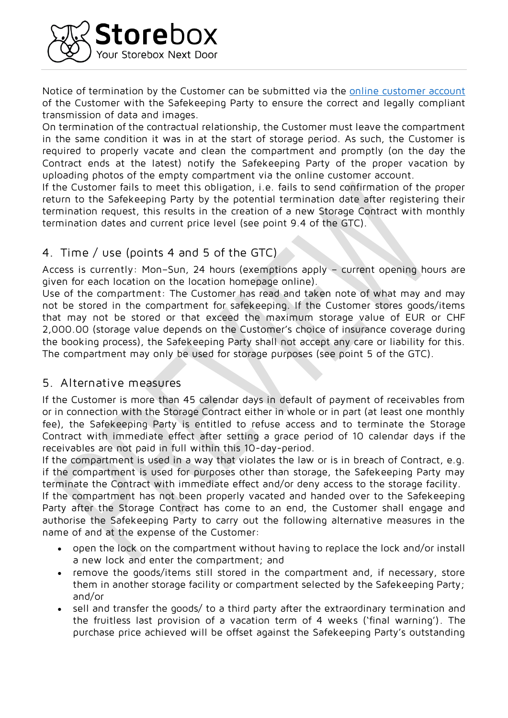

**Notice of termination by the Customer can be submitted via the [online customer account](https://www.yourstorebox.com/profile/dashboard) of the Customer with the Safekeeping Party to ensure the correct and legally compliant transmission of data and images.**

**On termination of the contractual relationship, the Customer must leave the compartment in the same condition it was in at the start of storage period. As such, the Customer is required to properly vacate and clean the compartment and promptly (on the day the Contract ends at the latest) notify the Safekeeping Party of the proper vacation by uploading photos of the empty compartment via the online customer account.** 

**If the Customer fails to meet this obligation, i.e. fails to send confirmation of the proper return to the Safekeeping Party by the potential termination date after registering their termination request, this results in the creation of a new Storage Contract with monthly termination dates and current price level (see point 9.4 of the GTC).**

#### **4. Time / use (points 4 and 5 of the GTC)**

**Access is currently: Mon–Sun, 24 hours (exemptions apply – current opening hours are given for each location on the location homepage online).**

**Use of the compartment: The Customer has read and taken note of what may and may not be stored in the compartment for safekeeping. If the Customer stores goods/items that may not be stored or that exceed the maximum storage value of EUR or CHF 2,000.00 (storage value depends on the Customer's choice of insurance coverage during the booking process), the Safekeeping Party shall not accept any care or liability for this. The compartment may only be used for storage purposes (see point 5 of the GTC).**

#### **5. Alternative measures**

**If the Customer is more than 45 calendar days in default of payment of receivables from or in connection with the Storage Contract either in whole or in part (at least one monthly fee), the Safekeeping Party is entitled to refuse access and to terminate the Storage Contract with immediate effect after setting a grace period of 10 calendar days if the receivables are not paid in full within this 10-day-period.**

**If the compartment is used in a way that violates the law or is in breach of Contract, e.g. if the compartment is used for purposes other than storage, the Safekeeping Party may terminate the Contract with immediate effect and/or deny access to the storage facility.**

**If the compartment has not been properly vacated and handed over to the Safekeeping Party after the Storage Contract has come to an end, the Customer shall engage and authorise the Safekeeping Party to carry out the following alternative measures in the name of and at the expense of the Customer:**

- **open the lock on the compartment without having to replace the lock and/or install a new lock and enter the compartment; and**
- **remove the goods/items still stored in the compartment and, if necessary, store them in another storage facility or compartment selected by the Safekeeping Party; and/or**
- **sell and transfer the goods/ to a third party after the extraordinary termination and the fruitless last provision of a vacation term of 4 weeks ('final warning'). The purchase price achieved will be offset against the Safekeeping Party's outstanding**